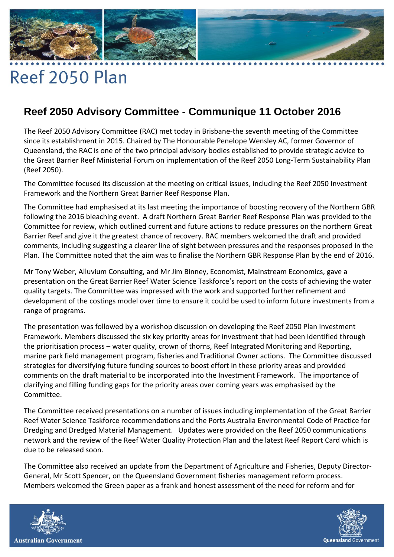## 

## Reef 2050 Plan

## **Reef 2050 Advisory Committee - Communique 11 October 2016**

The Reef 2050 Advisory Committee (RAC) met today in Brisbane-the seventh meeting of the Committee since its establishment in 2015. Chaired by The Honourable Penelope Wensley AC, former Governor of Queensland, the RAC is one of the two principal advisory bodies established to provide strategic advice to the Great Barrier Reef Ministerial Forum on implementation of the Reef 2050 Long-Term Sustainability Plan (Reef 2050).

The Committee focused its discussion at the meeting on critical issues, including the Reef 2050 Investment Framework and the Northern Great Barrier Reef Response Plan.

The Committee had emphasised at its last meeting the importance of boosting recovery of the Northern GBR following the 2016 bleaching event. A draft Northern Great Barrier Reef Response Plan was provided to the Committee for review, which outlined current and future actions to reduce pressures on the northern Great Barrier Reef and give it the greatest chance of recovery. RAC members welcomed the draft and provided comments, including suggesting a clearer line of sight between pressures and the responses proposed in the Plan. The Committee noted that the aim was to finalise the Northern GBR Response Plan by the end of 2016.

Mr Tony Weber, Alluvium Consulting, and Mr Jim Binney, Economist, Mainstream Economics, gave a presentation on the Great Barrier Reef Water Science Taskforce's report on the costs of achieving the water quality targets. The Committee was impressed with the work and supported further refinement and development of the costings model over time to ensure it could be used to inform future investments from a range of programs.

The presentation was followed by a workshop discussion on developing the Reef 2050 Plan Investment Framework. Members discussed the six key priority areas for investment that had been identified through the prioritisation process – water quality, crown of thorns, Reef Integrated Monitoring and Reporting, marine park field management program, fisheries and Traditional Owner actions. The Committee discussed strategies for diversifying future funding sources to boost effort in these priority areas and provided comments on the draft material to be incorporated into the Investment Framework. The importance of clarifying and filling funding gaps for the priority areas over coming years was emphasised by the Committee.

The Committee received presentations on a number of issues including implementation of the Great Barrier Reef Water Science Taskforce recommendations and the Ports Australia Environmental Code of Practice for Dredging and Dredged Material Management. Updates were provided on the Reef 2050 communications network and the review of the Reef Water Quality Protection Plan and the latest Reef Report Card which is due to be released soon.

The Committee also received an update from the Department of Agriculture and Fisheries, Deputy Director-General, Mr Scott Spencer, on the Queensland Government fisheries management reform process. Members welcomed the Green paper as a frank and honest assessment of the need for reform and for